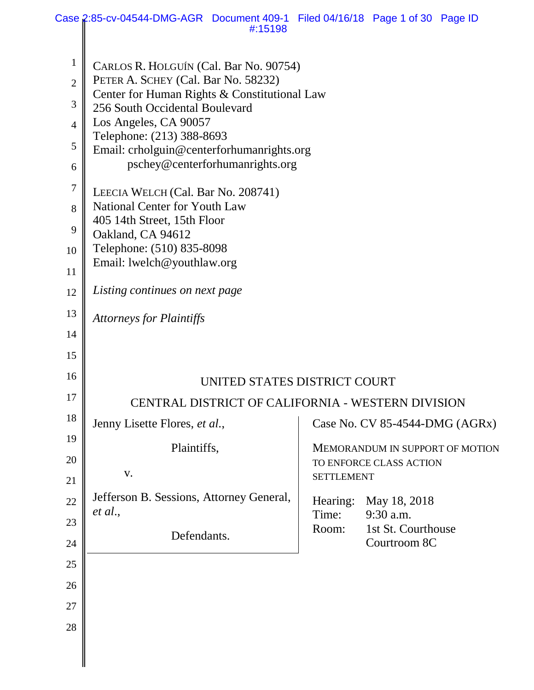|                | Case 2:85-cv-04544-DMG-AGR Document 409-1 Filed 04/16/18 Page 1 of 30 Page ID  | #:15198 |                              |                                 |  |
|----------------|--------------------------------------------------------------------------------|---------|------------------------------|---------------------------------|--|
|                |                                                                                |         |                              |                                 |  |
| $\mathbf{1}$   | CARLOS R. HOLGUÍN (Cal. Bar No. 90754)                                         |         |                              |                                 |  |
| $\overline{2}$ | PETER A. SCHEY (Cal. Bar No. 58232)                                            |         |                              |                                 |  |
| 3              | Center for Human Rights & Constitutional Law<br>256 South Occidental Boulevard |         |                              |                                 |  |
| $\overline{4}$ | Los Angeles, CA 90057                                                          |         |                              |                                 |  |
| 5              | Telephone: (213) 388-8693                                                      |         |                              |                                 |  |
| 6              | Email: crholguin@centerforhumanrights.org<br>pschey@centerforhumanrights.org   |         |                              |                                 |  |
| 7              |                                                                                |         |                              |                                 |  |
|                | LEECIA WELCH (Cal. Bar No. 208741)<br>National Center for Youth Law            |         |                              |                                 |  |
| 8              | 405 14th Street, 15th Floor                                                    |         |                              |                                 |  |
| 9              | Oakland, CA 94612                                                              |         |                              |                                 |  |
| 10             | Telephone: (510) 835-8098                                                      |         |                              |                                 |  |
| 11             | Email: lwelch@youthlaw.org                                                     |         |                              |                                 |  |
| 12             | Listing continues on next page                                                 |         |                              |                                 |  |
| 13             | <b>Attorneys for Plaintiffs</b>                                                |         |                              |                                 |  |
| 14             |                                                                                |         |                              |                                 |  |
| 15             |                                                                                |         |                              |                                 |  |
| 16             |                                                                                |         | UNITED STATES DISTRICT COURT |                                 |  |
| 17             | CENTRAL DISTRICT OF CALIFORNIA - WESTERN DIVISION                              |         |                              |                                 |  |
| 18             | Jenny Lisette Flores, et al.,                                                  |         |                              | Case No. CV 85-4544-DMG (AGRx)  |  |
| 19             | Plaintiffs,                                                                    |         |                              | MEMORANDUM IN SUPPORT OF MOTION |  |
| 20             |                                                                                |         |                              | TO ENFORCE CLASS ACTION         |  |
| 21             | V.                                                                             |         | <b>SETTLEMENT</b>            |                                 |  |
| 22             | Jefferson B. Sessions, Attorney General,                                       |         | Hearing:                     | May 18, 2018                    |  |
| 23             | et al.,                                                                        |         | Time:<br>Room:               | 9:30 a.m.<br>1st St. Courthouse |  |
| 24             | Defendants.                                                                    |         |                              | Courtroom 8C                    |  |
| 25             |                                                                                |         |                              |                                 |  |
| 26             |                                                                                |         |                              |                                 |  |
| 27             |                                                                                |         |                              |                                 |  |
| 28             |                                                                                |         |                              |                                 |  |
|                |                                                                                |         |                              |                                 |  |
|                |                                                                                |         |                              |                                 |  |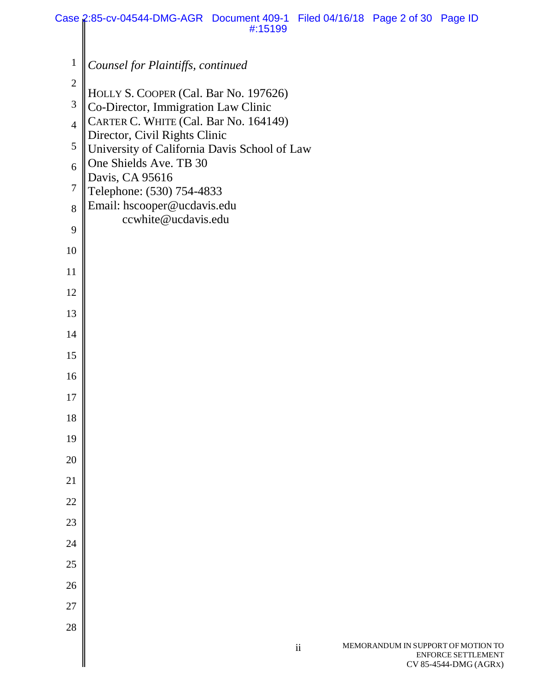|                | Case 2:85-cv-04544-DMG-AGR Document 409-1 Filed 04/16/18 Page 2 of 30 Page ID<br>#:15199 |                                    |                                                    |
|----------------|------------------------------------------------------------------------------------------|------------------------------------|----------------------------------------------------|
|                |                                                                                          |                                    |                                                    |
| $\mathbf{1}$   | Counsel for Plaintiffs, continued                                                        |                                    |                                                    |
| $\mathbf{2}$   | HOLLY S. COOPER (Cal. Bar No. 197626)                                                    |                                    |                                                    |
| $\mathfrak{Z}$ | Co-Director, Immigration Law Clinic                                                      |                                    |                                                    |
| $\overline{4}$ | CARTER C. WHITE (Cal. Bar No. 164149)<br>Director, Civil Rights Clinic                   |                                    |                                                    |
| 5              | University of California Davis School of Law                                             |                                    |                                                    |
| 6              | One Shields Ave. TB 30<br>Davis, CA 95616                                                |                                    |                                                    |
| $\tau$         | Telephone: (530) 754-4833                                                                |                                    |                                                    |
| 8              | Email: hscooper@ucdavis.edu<br>ccwhite@ucdavis.edu                                       |                                    |                                                    |
| 9              |                                                                                          |                                    |                                                    |
| 10             |                                                                                          |                                    |                                                    |
| 11             |                                                                                          |                                    |                                                    |
| 12             |                                                                                          |                                    |                                                    |
| 13             |                                                                                          |                                    |                                                    |
| 14             |                                                                                          |                                    |                                                    |
| 15             |                                                                                          |                                    |                                                    |
| 16             |                                                                                          |                                    |                                                    |
| 17             |                                                                                          |                                    |                                                    |
| 18             |                                                                                          |                                    |                                                    |
| 19             |                                                                                          |                                    |                                                    |
| 20             |                                                                                          |                                    |                                                    |
| 21             |                                                                                          |                                    |                                                    |
| 22             |                                                                                          |                                    |                                                    |
| 23             |                                                                                          |                                    |                                                    |
| 24             |                                                                                          |                                    |                                                    |
| 25             |                                                                                          |                                    |                                                    |
| 26             |                                                                                          |                                    |                                                    |
| 27             |                                                                                          |                                    |                                                    |
| 28             |                                                                                          |                                    |                                                    |
|                | $\rm ii$                                                                                 | MEMORANDUM IN SUPPORT OF MOTION TO | <b>ENFORCE SETTLEMENT</b><br>CV 85-4544-DMG (AGRX) |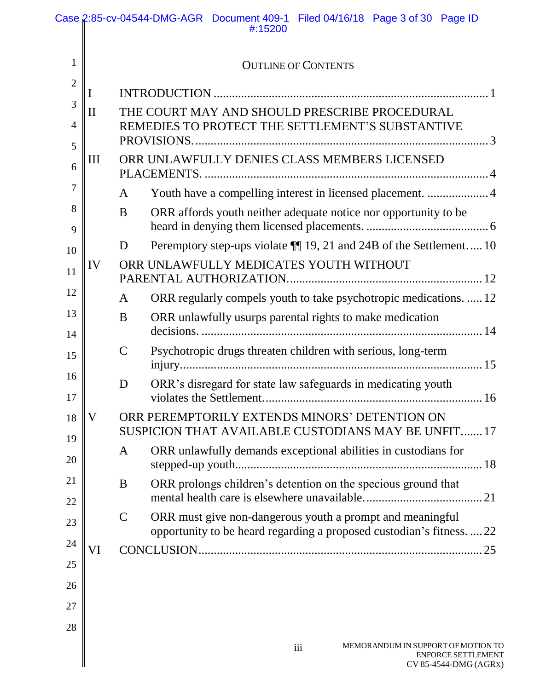|                          |                                                   |                                        | Case 2:85-cv-04544-DMG-AGR Document 409-1 Filed 04/16/18 Page 3 of 30 Page ID<br>#:15200            |  |
|--------------------------|---------------------------------------------------|----------------------------------------|-----------------------------------------------------------------------------------------------------|--|
| $\mathbf{1}$             |                                                   |                                        | <b>OUTLINE OF CONTENTS</b>                                                                          |  |
| $\overline{2}$           |                                                   |                                        |                                                                                                     |  |
| 3<br>$\overline{4}$<br>5 | $\rm II$                                          |                                        | THE COURT MAY AND SHOULD PRESCRIBE PROCEDURAL<br>REMEDIES TO PROTECT THE SETTLEMENT'S SUBSTANTIVE   |  |
| 6                        | ORR UNLAWFULLY DENIES CLASS MEMBERS LICENSED<br>Ш |                                        |                                                                                                     |  |
| 7                        |                                                   | A                                      | Youth have a compelling interest in licensed placement.  4                                          |  |
| 8<br>9                   |                                                   | B                                      | ORR affords youth neither adequate notice nor opportunity to be                                     |  |
| 10                       |                                                   | D                                      | Peremptory step-ups violate ¶ 19, 21 and 24B of the Settlement 10                                   |  |
| 11                       | IV                                                | ORR UNLAWFULLY MEDICATES YOUTH WITHOUT |                                                                                                     |  |
| 12                       |                                                   | A                                      | ORR regularly compels youth to take psychotropic medications.  12                                   |  |
| 13<br>14                 |                                                   | B                                      | ORR unlawfully usurps parental rights to make medication                                            |  |
| 15                       |                                                   | C                                      | Psychotropic drugs threaten children with serious, long-term                                        |  |
| 16<br>17                 |                                                   | D                                      | ORR's disregard for state law safeguards in medicating youth                                        |  |
| 18                       | $\rm V$                                           |                                        | ORR PEREMPTORILY EXTENDS MINORS' DETENTION ON<br>SUSPICION THAT AVAILABLE CUSTODIANS MAY BE UNFIT17 |  |
| 19<br>20                 |                                                   | A                                      | ORR unlawfully demands exceptional abilities in custodians for                                      |  |
| 21<br>22                 |                                                   | B                                      | ORR prolongs children's detention on the specious ground that                                       |  |
| 23                       |                                                   | $\mathsf{C}$                           | ORR must give non-dangerous youth a prompt and meaningful                                           |  |
| 24                       |                                                   |                                        | opportunity to be heard regarding a proposed custodian's fitness.  22                               |  |
| 25                       | VI                                                |                                        |                                                                                                     |  |
| 26                       |                                                   |                                        |                                                                                                     |  |
| 27                       |                                                   |                                        |                                                                                                     |  |
| 28                       |                                                   |                                        |                                                                                                     |  |
|                          |                                                   |                                        | MEMORANDUM IN SUPPORT OF MOTION TO<br>iii<br><b>ENFORCE SETTLEMENT</b><br>CV 85-4544-DMG (AGRX)     |  |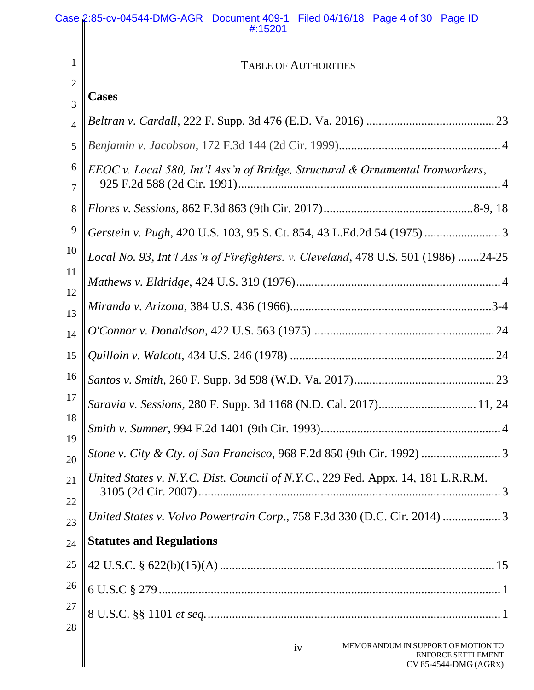|                | Case 2:85-cv-04544-DMG-AGR Document 409-1 Filed 04/16/18 Page 4 of 30 Page ID<br>#:15201       |  |  |
|----------------|------------------------------------------------------------------------------------------------|--|--|
| 1              | <b>TABLE OF AUTHORITIES</b>                                                                    |  |  |
| $\mathbf{2}$   |                                                                                                |  |  |
| 3              | <b>Cases</b>                                                                                   |  |  |
| $\overline{4}$ |                                                                                                |  |  |
| 5              |                                                                                                |  |  |
| 6<br>7         | EEOC v. Local 580, Int'l Ass'n of Bridge, Structural & Ornamental Ironworkers,                 |  |  |
| $8\phantom{1}$ |                                                                                                |  |  |
| 9              |                                                                                                |  |  |
| 10             | Local No. 93, Int'l Ass'n of Firefighters. v. Cleveland, 478 U.S. 501 (1986) 24-25             |  |  |
| 11             |                                                                                                |  |  |
| 12             |                                                                                                |  |  |
| 13             |                                                                                                |  |  |
| 14             |                                                                                                |  |  |
| 15             |                                                                                                |  |  |
| 16             |                                                                                                |  |  |
| 17             | Saravia v. Sessions, 280 F. Supp. 3d 1168 (N.D. Cal. 2017) 11, 24                              |  |  |
| 18             |                                                                                                |  |  |
| 19<br>20       |                                                                                                |  |  |
| 21             | United States v. N.Y.C. Dist. Council of N.Y.C., 229 Fed. Appx. 14, 181 L.R.R.M.               |  |  |
| 22             |                                                                                                |  |  |
| 23             | United States v. Volvo Powertrain Corp., 758 F.3d 330 (D.C. Cir. 2014) 3                       |  |  |
| 24             | <b>Statutes and Regulations</b>                                                                |  |  |
| 25             |                                                                                                |  |  |
| 26             |                                                                                                |  |  |
| 27             |                                                                                                |  |  |
| 28             |                                                                                                |  |  |
|                | MEMORANDUM IN SUPPORT OF MOTION TO<br>iv<br><b>ENFORCE SETTLEMENT</b><br>CV 85-4544-DMG (AGRX) |  |  |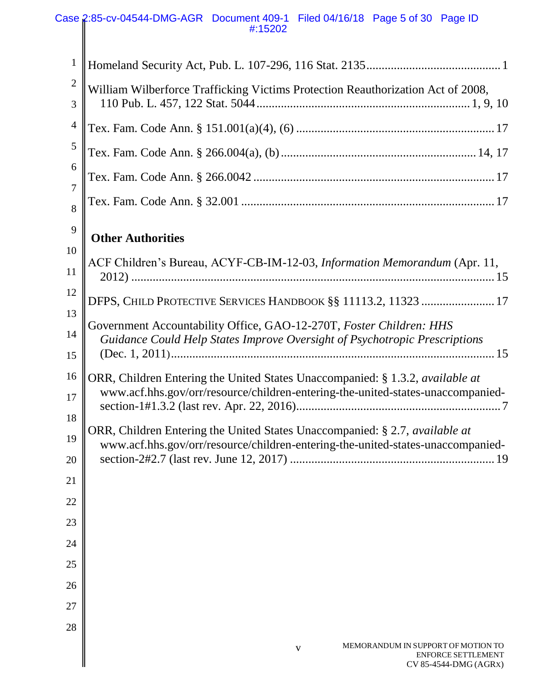### Case 2:85-cv-04544-DMG-AGR Document 409-1 Filed 04/16/18 Page 5 of 30 Page ID #:15202

| $\mathbf{1}$   |                                                                                                                                                                         |
|----------------|-------------------------------------------------------------------------------------------------------------------------------------------------------------------------|
| $\overline{2}$ | William Wilberforce Trafficking Victims Protection Reauthorization Act of 2008,                                                                                         |
| 3              |                                                                                                                                                                         |
| $\overline{4}$ |                                                                                                                                                                         |
| 5              |                                                                                                                                                                         |
| 6<br>7         |                                                                                                                                                                         |
| 8              |                                                                                                                                                                         |
| 9              | <b>Other Authorities</b>                                                                                                                                                |
| 10             |                                                                                                                                                                         |
| 11             | ACF Children's Bureau, ACYF-CB-IM-12-03, Information Memorandum (Apr. 11,                                                                                               |
| 12             | DFPS, CHILD PROTECTIVE SERVICES HANDBOOK §§ 11113.2, 11323  17                                                                                                          |
| 13             | Government Accountability Office, GAO-12-270T, Foster Children: HHS                                                                                                     |
| 14<br>15       | Guidance Could Help States Improve Oversight of Psychotropic Prescriptions                                                                                              |
| 16             |                                                                                                                                                                         |
| 17             | ORR, Children Entering the United States Unaccompanied: § 1.3.2, <i>available at</i><br>www.acf.hhs.gov/orr/resource/children-entering-the-united-states-unaccompanied- |
| 18             |                                                                                                                                                                         |
| 19             | ORR, Children Entering the United States Unaccompanied: § 2.7, available at<br>www.acf.hhs.gov/orr/resource/children-entering-the-united-states-unaccompanied-          |
| 20             |                                                                                                                                                                         |
| 21             |                                                                                                                                                                         |
| 22             |                                                                                                                                                                         |
| 23             |                                                                                                                                                                         |
| 24             |                                                                                                                                                                         |
| 25             |                                                                                                                                                                         |
| 26             |                                                                                                                                                                         |
| 27             |                                                                                                                                                                         |
| 28             |                                                                                                                                                                         |
|                | MEMORANDUM IN SUPPORT OF MOTION TO<br>$\mathbf{V}$<br><b>ENFORCE SETTLEMENT</b><br>CV 85-4544-DMG (AGRX)                                                                |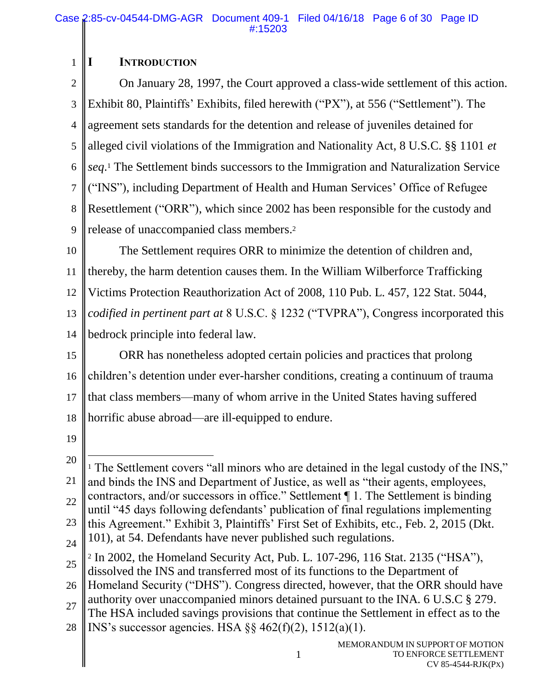## **I INTRODUCTION**

1

2 3 4 5 6 7 8 9 On January 28, 1997, the Court approved a class-wide settlement of this action. Exhibit 80, Plaintiffs' Exhibits, filed herewith ("PX"), at 556 ("Settlement"). The agreement sets standards for the detention and release of juveniles detained for alleged civil violations of the Immigration and Nationality Act, 8 U.S.C. §§ 1101 *et seq*. <sup>1</sup> The Settlement binds successors to the Immigration and Naturalization Service ("INS"), including Department of Health and Human Services' Office of Refugee Resettlement ("ORR"), which since 2002 has been responsible for the custody and release of unaccompanied class members. 2

10 11 12 13 14 The Settlement requires ORR to minimize the detention of children and, thereby, the harm detention causes them. In the William Wilberforce Trafficking Victims Protection Reauthorization Act of 2008, 110 Pub. L. 457, 122 Stat. 5044, *codified in pertinent part at* 8 U.S.C. § 1232 ("TVPRA"), Congress incorporated this bedrock principle into federal law.

15 16 17 18 ORR has nonetheless adopted certain policies and practices that prolong children's detention under ever-harsher conditions, creating a continuum of trauma that class members—many of whom arrive in the United States having suffered horrific abuse abroad—are ill-equipped to endure.

- 19
- 20 21 22 23 24 25  $\overline{a}$ <sup>1</sup> The Settlement covers "all minors who are detained in the legal custody of the INS," and binds the INS and Department of Justice, as well as "their agents, employees, contractors, and/or successors in office." Settlement ¶ 1. The Settlement is binding until "45 days following defendants' publication of final regulations implementing this Agreement." Exhibit 3, Plaintiffs' First Set of Exhibits, etc., Feb. 2, 2015 (Dkt. 101), at 54. Defendants have never published such regulations. <sup>2</sup> In 2002, the Homeland Security Act, Pub. L. 107-296, 116 Stat. 2135 ("HSA"), dissolved the INS and transferred most of its functions to the Department of
- 26 27 Homeland Security ("DHS"). Congress directed, however, that the ORR should have authority over unaccompanied minors detained pursuant to the INA. 6 U.S.C § 279. The HSA included savings provisions that continue the Settlement in effect as to the

1

28 INS's successor agencies. HSA §§ 462(f)(2), 1512(a)(1).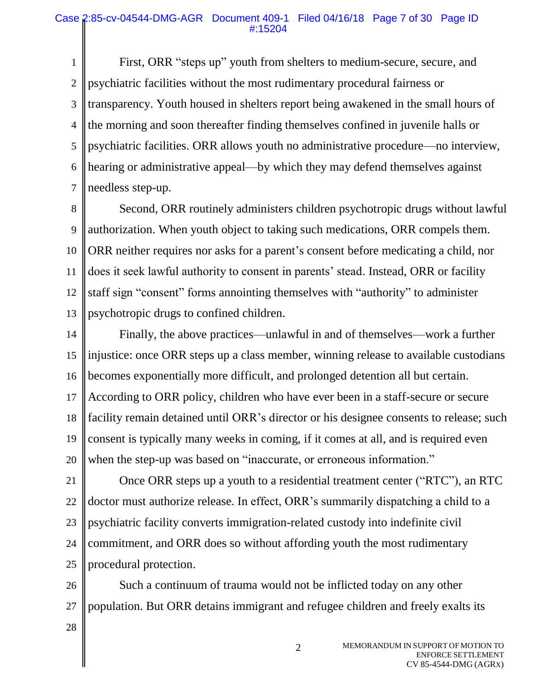#### Case 2:85-cv-04544-DMG-AGR Document 409-1 Filed 04/16/18 Page 7 of 30 Page ID #:15204

1 2 3 4 5 6 7 First, ORR "steps up" youth from shelters to medium-secure, secure, and psychiatric facilities without the most rudimentary procedural fairness or transparency. Youth housed in shelters report being awakened in the small hours of the morning and soon thereafter finding themselves confined in juvenile halls or psychiatric facilities. ORR allows youth no administrative procedure—no interview, hearing or administrative appeal—by which they may defend themselves against needless step-up.

8 9 10 11 12 13 Second, ORR routinely administers children psychotropic drugs without lawful authorization. When youth object to taking such medications, ORR compels them. ORR neither requires nor asks for a parent's consent before medicating a child, nor does it seek lawful authority to consent in parents' stead. Instead, ORR or facility staff sign "consent" forms annointing themselves with "authority" to administer psychotropic drugs to confined children.

14 15 16 17 18 19 20 Finally, the above practices—unlawful in and of themselves—work a further injustice: once ORR steps up a class member, winning release to available custodians becomes exponentially more difficult, and prolonged detention all but certain. According to ORR policy, children who have ever been in a staff-secure or secure facility remain detained until ORR's director or his designee consents to release; such consent is typically many weeks in coming, if it comes at all, and is required even when the step-up was based on "inaccurate, or erroneous information."

21 22 23 24 25 Once ORR steps up a youth to a residential treatment center ("RTC"), an RTC doctor must authorize release. In effect, ORR's summarily dispatching a child to a psychiatric facility converts immigration-related custody into indefinite civil commitment, and ORR does so without affording youth the most rudimentary procedural protection.

26 27 Such a continuum of trauma would not be inflicted today on any other population. But ORR detains immigrant and refugee children and freely exalts its

2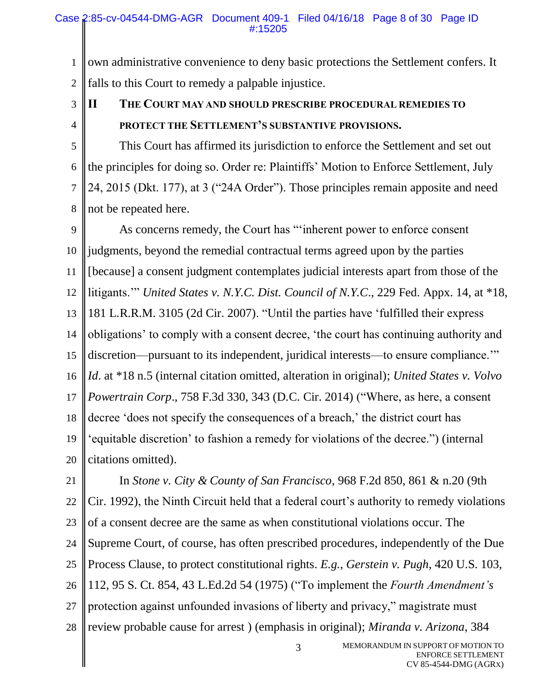1 2 own administrative convenience to deny basic protections the Settlement confers. It falls to this Court to remedy a palpable injustice.

3 4

# **II THE COURT MAY AND SHOULD PRESCRIBE PROCEDURAL REMEDIES TO PROTECT THE SETTLEMENT'S SUBSTANTIVE PROVISIONS.**

5 6 7 8 This Court has affirmed its jurisdiction to enforce the Settlement and set out the principles for doing so. Order re: Plaintiffs' Motion to Enforce Settlement, July 24, 2015 (Dkt. 177), at 3 ("24A Order"). Those principles remain apposite and need not be repeated here.

9 10 11 12 13 14 15 16 17 18 19 20 As concerns remedy, the Court has "'inherent power to enforce consent judgments, beyond the remedial contractual terms agreed upon by the parties [because] a consent judgment contemplates judicial interests apart from those of the litigants.'" *United States v. N.Y.C. Dist. Council of N.Y.C*., 229 Fed. Appx. 14, at \*18, 181 L.R.R.M. 3105 (2d Cir. 2007). "Until the parties have 'fulfilled their express obligations' to comply with a consent decree, 'the court has continuing authority and discretion—pursuant to its independent, juridical interests—to ensure compliance.'" *Id*. at \*18 n.5 (internal citation omitted, alteration in original); *United States v. Volvo Powertrain Corp*., 758 F.3d 330, 343 (D.C. Cir. 2014) ("Where, as here, a consent decree 'does not specify the consequences of a breach,' the district court has 'equitable discretion' to fashion a remedy for violations of the decree.") (internal citations omitted).

21 22 23 24 25 26 27 28 In *Stone v. City & County of San Francisco*, 968 F.2d 850, 861 & n.20 (9th Cir. 1992), the Ninth Circuit held that a federal court's authority to remedy violations of a consent decree are the same as when constitutional violations occur. The Supreme Court, of course, has often prescribed procedures, independently of the Due Process Clause, to protect constitutional rights. *E.g.*, *Gerstein v. Pugh*, 420 U.S. 103, 112, 95 S. Ct. 854, 43 L.Ed.2d 54 (1975) ("To implement the *Fourth Amendment's*  protection against unfounded invasions of liberty and privacy," magistrate must review probable cause for arrest ) (emphasis in original); *Miranda v. Arizona*, 384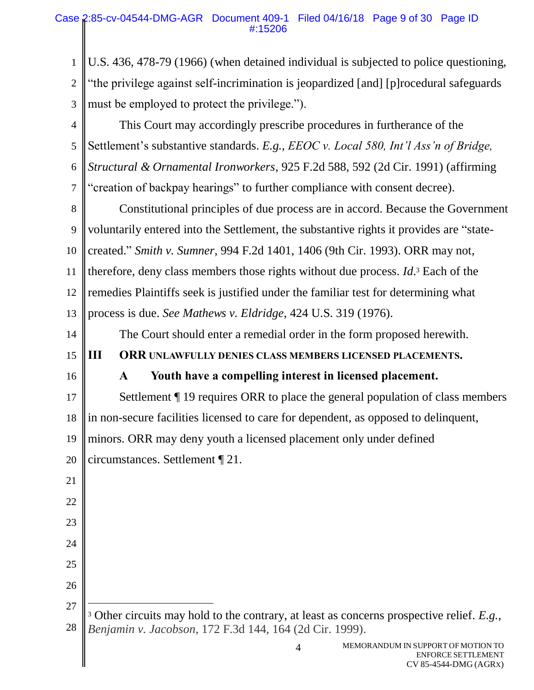1 2 3 U.S. 436, 478-79 (1966) (when detained individual is subjected to police questioning, "the privilege against self-incrimination is jeopardized [and] [p]rocedural safeguards must be employed to protect the privilege.").

4 5 6 7 This Court may accordingly prescribe procedures in furtherance of the Settlement's substantive standards. *E.g.*, *EEOC v. Local 580, Int'l Ass'n of Bridge, Structural & Ornamental Ironworkers*, 925 F.2d 588, 592 (2d Cir. 1991) (affirming "creation of backpay hearings" to further compliance with consent decree).

8 9 10 11 12 13 Constitutional principles of due process are in accord. Because the Government voluntarily entered into the Settlement, the substantive rights it provides are "statecreated." *Smith v. Sumner*, 994 F.2d 1401, 1406 (9th Cir. 1993). ORR may not, therefore, deny class members those rights without due process. *Id*. <sup>3</sup> Each of the remedies Plaintiffs seek is justified under the familiar test for determining what process is due. *See Mathews v. Eldridge*, 424 U.S. 319 (1976).

The Court should enter a remedial order in the form proposed herewith.

**III ORR UNLAWFULLY DENIES CLASS MEMBERS LICENSED PLACEMENTS.**

16

21

22

23

24

25

26

 $\overline{a}$ 

14

15

# **A Youth have a compelling interest in licensed placement.**

17 18 Settlement ¶ 19 requires ORR to place the general population of class members in non-secure facilities licensed to care for dependent, as opposed to delinquent,

19 minors. ORR may deny youth a licensed placement only under defined

20 circumstances. Settlement ¶ 21.

27 28 <sup>3</sup> Other circuits may hold to the contrary, at least as concerns prospective relief. *E.g.*, *Benjamin v. Jacobson*, 172 F.3d 144, 164 (2d Cir. 1999).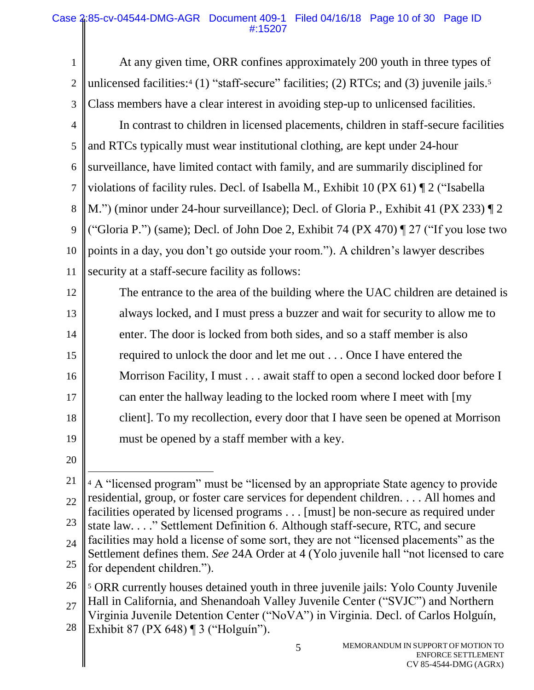1 2 3 4 5 6 7 8 9 10 11 12 13 14 15 16 17 18 19 At any given time, ORR confines approximately 200 youth in three types of unlicensed facilities:<sup>4</sup> (1) "staff-secure" facilities; (2) RTCs; and (3) juvenile jails.<sup>5</sup> Class members have a clear interest in avoiding step-up to unlicensed facilities. In contrast to children in licensed placements, children in staff-secure facilities and RTCs typically must wear institutional clothing, are kept under 24-hour surveillance, have limited contact with family, and are summarily disciplined for violations of facility rules. Decl. of Isabella M., Exhibit 10 (PX 61) ¶ 2 ("Isabella M.") (minor under 24-hour surveillance); Decl. of Gloria P., Exhibit 41 (PX 233) ¶ 2 ("Gloria P.") (same); Decl. of John Doe 2, Exhibit 74 (PX 470) ¶ 27 ("If you lose two points in a day, you don't go outside your room."). A children's lawyer describes security at a staff-secure facility as follows: The entrance to the area of the building where the UAC children are detained is always locked, and I must press a buzzer and wait for security to allow me to enter. The door is locked from both sides, and so a staff member is also required to unlock the door and let me out . . . Once I have entered the Morrison Facility, I must . . . await staff to open a second locked door before I can enter the hallway leading to the locked room where I meet with [my client]. To my recollection, every door that I have seen be opened at Morrison must be opened by a staff member with a key.

20

<sup>21</sup> 22 23 24 25  $\overline{a}$ <sup>4</sup> A "licensed program" must be "licensed by an appropriate State agency to provide residential, group, or foster care services for dependent children. . . . All homes and facilities operated by licensed programs . . . [must] be non-secure as required under state law. . . ." Settlement Definition 6. Although staff-secure, RTC, and secure facilities may hold a license of some sort, they are not "licensed placements" as the Settlement defines them. *See* 24A Order at 4 (Yolo juvenile hall "not licensed to care for dependent children.").

<sup>26</sup> 27 28 <sup>5</sup> ORR currently houses detained youth in three juvenile jails: Yolo County Juvenile Hall in California, and Shenandoah Valley Juvenile Center ("SVJC") and Northern Virginia Juvenile Detention Center ("NoVA") in Virginia. Decl. of Carlos Holguín, Exhibit 87 (PX 648) ¶ 3 ("Holguín").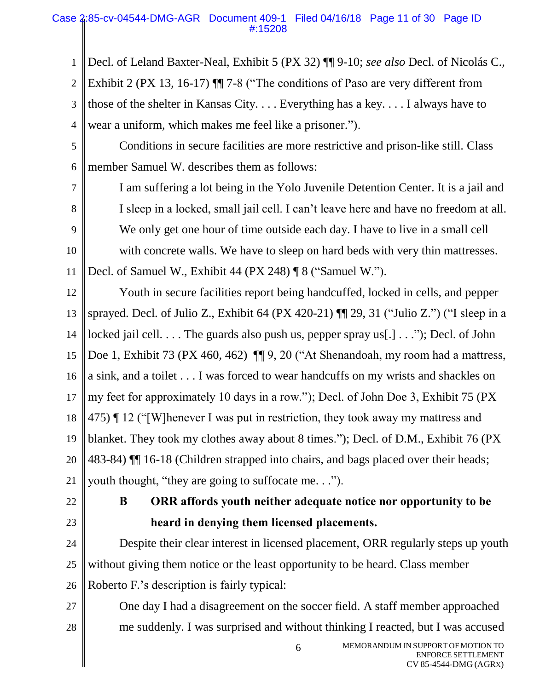## Case 2:85-cv-04544-DMG-AGR Document 409-1 Filed 04/16/18 Page 11 of 30 Page ID #:15208

1 2 3 4 Decl. of Leland Baxter-Neal, Exhibit 5 (PX 32) ¶¶ 9-10; *see also* Decl. of Nicolás C., Exhibit 2 (PX 13, 16-17) ¶¶ 7-8 ("The conditions of Paso are very different from those of the shelter in Kansas City. . . . Everything has a key. . . . I always have to wear a uniform, which makes me feel like a prisoner.").

- 5 6 Conditions in secure facilities are more restrictive and prison-like still. Class member Samuel W. describes them as follows:
- 7 8 9 10 11 I am suffering a lot being in the Yolo Juvenile Detention Center. It is a jail and I sleep in a locked, small jail cell. I can't leave here and have no freedom at all. We only get one hour of time outside each day. I have to live in a small cell with concrete walls. We have to sleep on hard beds with very thin mattresses. Decl. of Samuel W., Exhibit 44 (PX 248) ¶ 8 ("Samuel W.").
- 12 13 14 15 16 17 18 19 20 21 Youth in secure facilities report being handcuffed, locked in cells, and pepper sprayed. Decl. of Julio Z., Exhibit 64 (PX 420-21) ¶¶ 29, 31 ("Julio Z.") ("I sleep in a locked jail cell. . . . The guards also push us, pepper spray us[.] . . ."); Decl. of John Doe 1, Exhibit 73 (PX 460, 462) ¶ 9, 20 ("At Shenandoah, my room had a mattress, a sink, and a toilet . . . I was forced to wear handcuffs on my wrists and shackles on my feet for approximately 10 days in a row."); Decl. of John Doe 3, Exhibit 75 (PX 475) ¶ 12 ("[W]henever I was put in restriction, they took away my mattress and blanket. They took my clothes away about 8 times."); Decl. of D.M., Exhibit 76 (PX 483-84) ¶¶ 16-18 (Children strapped into chairs, and bags placed over their heads; youth thought, "they are going to suffocate me. . .").
- 22
- 23

# **B ORR affords youth neither adequate notice nor opportunity to be heard in denying them licensed placements.**

24 25 26 Despite their clear interest in licensed placement, ORR regularly steps up youth without giving them notice or the least opportunity to be heard. Class member Roberto F.'s description is fairly typical:

27 28

One day I had a disagreement on the soccer field. A staff member approached me suddenly. I was surprised and without thinking I reacted, but I was accused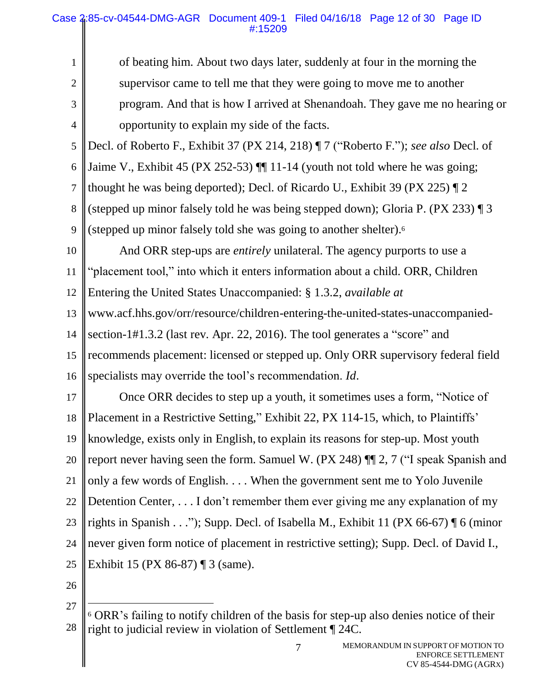2 3

1

4

of beating him. About two days later, suddenly at four in the morning the supervisor came to tell me that they were going to move me to another program. And that is how I arrived at Shenandoah. They gave me no hearing or opportunity to explain my side of the facts.

5 6 7 8 Decl. of Roberto F., Exhibit 37 (PX 214, 218) ¶ 7 ("Roberto F."); *see also* Decl. of Jaime V., Exhibit 45 (PX 252-53) ¶¶ 11-14 (youth not told where he was going; thought he was being deported); Decl. of Ricardo U., Exhibit 39 (PX 225) ¶ 2 (stepped up minor falsely told he was being stepped down); Gloria P. (PX 233) ¶ 3

9 (stepped up minor falsely told she was going to another shelter).<sup>6</sup>

10 11 12 13 14 15 And ORR step-ups are *entirely* unilateral. The agency purports to use a "placement tool," into which it enters information about a child. ORR, Children Entering the United States Unaccompanied: § 1.3.2, *available at* www.acf.hhs.gov/orr/resource/children-entering-the-united-states-unaccompaniedsection-1#1.3.2 (last rev. Apr. 22, 2016). The tool generates a "score" and recommends placement: licensed or stepped up. Only ORR supervisory federal field

16 specialists may override the tool's recommendation. *Id*.

17 18 19 20 21 22 23 24 25 Once ORR decides to step up a youth, it sometimes uses a form, "Notice of Placement in a Restrictive Setting," Exhibit 22, PX 114-15, which, to Plaintiffs' knowledge, exists only in English, to explain its reasons for step-up. Most youth report never having seen the form. Samuel W. (PX 248) ¶¶ 2, 7 ("I speak Spanish and only a few words of English. . . . When the government sent me to Yolo Juvenile Detention Center, . . . I don't remember them ever giving me any explanation of my rights in Spanish . . ."); Supp. Decl. of Isabella M., Exhibit 11 (PX 66-67) ¶ 6 (minor never given form notice of placement in restrictive setting); Supp. Decl. of David I., Exhibit 15 (PX 86-87) ¶ 3 (same).

26

 $\overline{a}$ 

<sup>27</sup> 28  $6$  ORR's failing to notify children of the basis for step-up also denies notice of their right to judicial review in violation of Settlement ¶ 24C.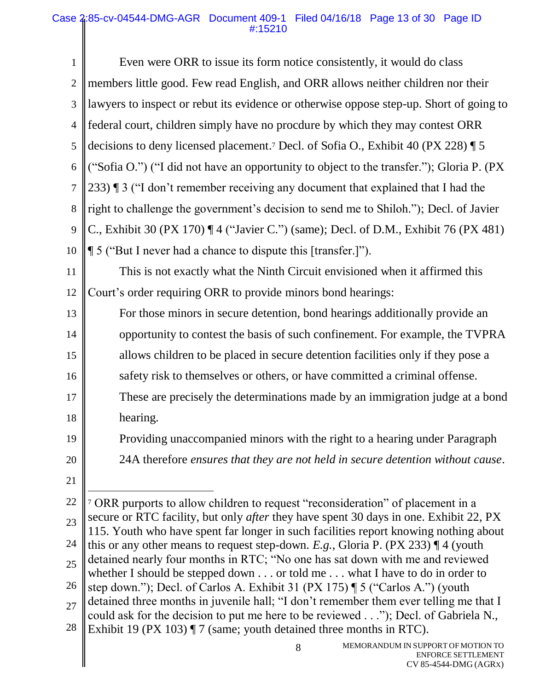| $\mathbf{1}$   | Even were ORR to issue its form notice consistently, it would do class                                                                                                               |
|----------------|--------------------------------------------------------------------------------------------------------------------------------------------------------------------------------------|
| $\overline{2}$ | members little good. Few read English, and ORR allows neither children nor their                                                                                                     |
| 3              | lawyers to inspect or rebut its evidence or otherwise oppose step-up. Short of going to                                                                                              |
| $\overline{4}$ | federal court, children simply have no procdure by which they may contest ORR                                                                                                        |
| 5              | decisions to deny licensed placement. <sup>7</sup> Decl. of Sofia O., Exhibit 40 (PX 228) $\sqrt{ }$ 5                                                                               |
| 6              | ("Sofia O.") ("I did not have an opportunity to object to the transfer."); Gloria P. (PX)                                                                                            |
| $\overline{7}$ | 233) I 3 ("I don't remember receiving any document that explained that I had the                                                                                                     |
| 8              | right to challenge the government's decision to send me to Shiloh."); Decl. of Javier                                                                                                |
| 9              | C., Exhibit 30 (PX 170) $\P$ 4 ("Javier C.") (same); Decl. of D.M., Exhibit 76 (PX 481)                                                                                              |
| 10             | ¶ 5 ("But I never had a chance to dispute this [transfer.]").                                                                                                                        |
| 11             | This is not exactly what the Ninth Circuit envisioned when it affirmed this                                                                                                          |
| 12             | Court's order requiring ORR to provide minors bond hearings:                                                                                                                         |
| 13             | For those minors in secure detention, bond hearings additionally provide an                                                                                                          |
| 14             | opportunity to contest the basis of such confinement. For example, the TVPRA                                                                                                         |
| 15             | allows children to be placed in secure detention facilities only if they pose a                                                                                                      |
| 16             | safety risk to themselves or others, or have committed a criminal offense.                                                                                                           |
| 17             | These are precisely the determinations made by an immigration judge at a bond                                                                                                        |
| 18             | hearing.                                                                                                                                                                             |
| 19             | Providing unaccompanied minors with the right to a hearing under Paragraph                                                                                                           |
| 20             | 24A therefore ensures that they are not held in secure detention without cause.                                                                                                      |
| 21             |                                                                                                                                                                                      |
| 22             | <sup>7</sup> ORR purports to allow children to request "reconsideration" of placement in a                                                                                           |
| 23             | secure or RTC facility, but only <i>after</i> they have spent 30 days in one. Exhibit 22, PX<br>115. Youth who have spent far longer in such facilities report knowing nothing about |
| 24             | this or any other means to request step-down. E.g., Gloria P. (PX 233) $\P$ 4 (youth                                                                                                 |
| 25             | detained nearly four months in RTC; "No one has sat down with me and reviewed<br>whether I should be stepped down $\ldots$ or told me $\ldots$ what I have to do in order to         |
| 26             | step down."); Decl. of Carlos A. Exhibit 31 (PX 175) ¶ 5 ("Carlos A.") (youth                                                                                                        |
| 27             | detained three months in juvenile hall; "I don't remember them ever telling me that I<br>could ask for the decision to put me here to be reviewed"); Decl. of Gabriela N.,           |
| 28             | Exhibit 19 (PX 103) ¶ 7 (same; youth detained three months in RTC).                                                                                                                  |
|                | MEMORANDUM IN SUPPORT OF MOTION TO<br>8<br><b>ENFORCE SETTLEMENT</b><br>CV 85-4544-DMG (AGRX)                                                                                        |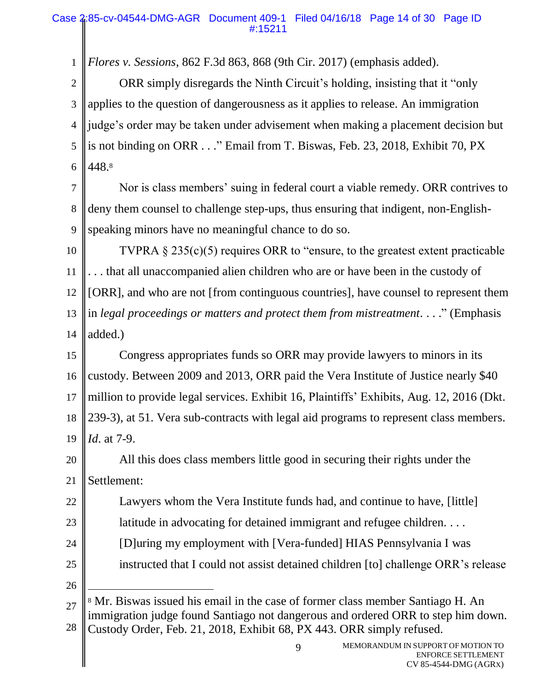*Flores v. Sessions*, 862 F.3d 863, 868 (9th Cir. 2017) (emphasis added).

2 3 4 5 6 ORR simply disregards the Ninth Circuit's holding, insisting that it "only applies to the question of dangerousness as it applies to release. An immigration judge's order may be taken under advisement when making a placement decision but is not binding on ORR . . ." Email from T. Biswas, Feb. 23, 2018, Exhibit 70, PX 448. 8

7 8 9 Nor is class members' suing in federal court a viable remedy. ORR contrives to deny them counsel to challenge step-ups, thus ensuring that indigent, non-Englishspeaking minors have no meaningful chance to do so.

10 11 12 13 14 TVPRA § 235(c)(5) requires ORR to "ensure, to the greatest extent practicable . . . that all unaccompanied alien children who are or have been in the custody of [ORR], and who are not [from continguous countries], have counsel to represent them in *legal proceedings or matters and protect them from mistreatment.* . . ." (Emphasis added.)

15 16 17 18 19 Congress appropriates funds so ORR may provide lawyers to minors in its custody. Between 2009 and 2013, ORR paid the Vera Institute of Justice nearly \$40 million to provide legal services. Exhibit 16, Plaintiffs' Exhibits, Aug. 12, 2016 (Dkt. 239-3), at 51. Vera sub-contracts with legal aid programs to represent class members. *Id*. at 7-9.

20 21 All this does class members little good in securing their rights under the Settlement:

22 Lawyers whom the Vera Institute funds had, and continue to have, [little]

- 23 latitude in advocating for detained immigrant and refugee children. ...
	- [D]uring my employment with [Vera-funded] HIAS Pennsylvania I was
- 25 instructed that I could not assist detained children [to] challenge ORR's release
- 26

 $\overline{a}$ 

24

1

<sup>27</sup> 28 <sup>8</sup> Mr. Biswas issued his email in the case of former class member Santiago H. An immigration judge found Santiago not dangerous and ordered ORR to step him down. Custody Order, Feb. 21, 2018, Exhibit 68, PX 443. ORR simply refused.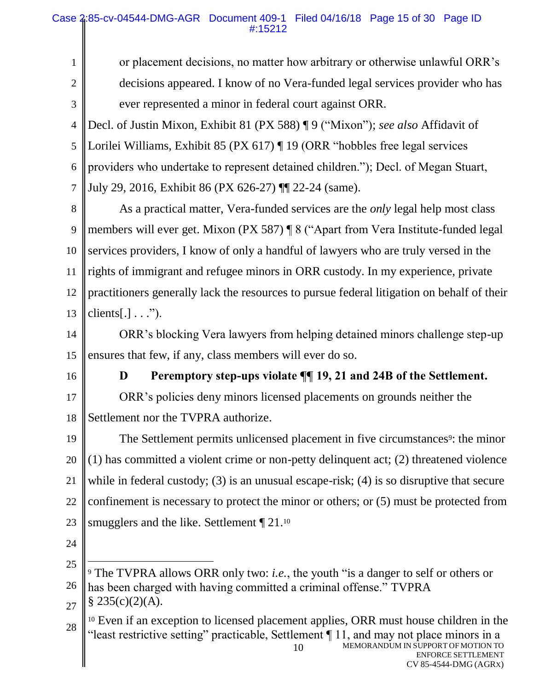or placement decisions, no matter how arbitrary or otherwise unlawful ORR's decisions appeared. I know of no Vera-funded legal services provider who has ever represented a minor in federal court against ORR.

4 5 6 7 Decl. of Justin Mixon, Exhibit 81 (PX 588) ¶ 9 ("Mixon"); *see also* Affidavit of Lorilei Williams, Exhibit 85 (PX 617) ¶ 19 (ORR "hobbles free legal services providers who undertake to represent detained children."); Decl. of Megan Stuart, July 29, 2016, Exhibit 86 (PX 626-27) ¶¶ 22-24 (same).

8 9 10 11 12 13 As a practical matter, Vera-funded services are the *only* legal help most class members will ever get. Mixon (PX 587) ¶ 8 ("Apart from Vera Institute-funded legal services providers, I know of only a handful of lawyers who are truly versed in the rights of immigrant and refugee minors in ORR custody. In my experience, private practitioners generally lack the resources to pursue federal litigation on behalf of their  $\text{clients}[\,.]\,.\,.$ ").

14 15 ORR's blocking Vera lawyers from helping detained minors challenge step-up ensures that few, if any, class members will ever do so.

16

1

2

3

## **D Peremptory step-ups violate ¶¶ 19, 21 and 24B of the Settlement.**

17 18 ORR's policies deny minors licensed placements on grounds neither the Settlement nor the TVPRA authorize.

19 20 21 22 23 The Settlement permits unlicensed placement in five circumstances<sup>9</sup>: the minor (1) has committed a violent crime or non-petty delinquent act; (2) threatened violence while in federal custody; (3) is an unusual escape-risk; (4) is so disruptive that secure confinement is necessary to protect the minor or others; or (5) must be protected from smugglers and the like. Settlement  $\P$  21.<sup>10</sup>

24

 $\overline{a}$ 

27  $§ 235(c)(2)(A).$ 

MEMORANDUM IN SUPPORT OF MOTION TO ENFORCE SETTLEMENT 10 28 <sup>10</sup> Even if an exception to licensed placement applies, ORR must house children in the "least restrictive setting" practicable, Settlement ¶ 11, and may not place minors in a

<sup>25</sup> 26 <sup>9</sup> The TVPRA allows ORR only two: *i.e.*, the youth "is a danger to self or others or has been charged with having committed a criminal offense." TVPRA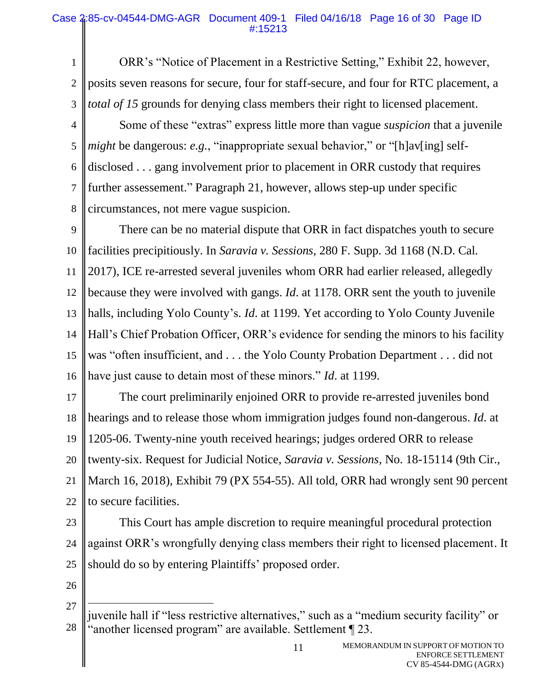1 2 3 ORR's "Notice of Placement in a Restrictive Setting," Exhibit 22, however, posits seven reasons for secure, four for staff-secure, and four for RTC placement, a *total of 15* grounds for denying class members their right to licensed placement.

4 5 6 7 8 Some of these "extras" express little more than vague *suspicion* that a juvenile *might* be dangerous: *e.g.*, "inappropriate sexual behavior," or "[h]av[ing] selfdisclosed . . . gang involvement prior to placement in ORR custody that requires further assessement." Paragraph 21, however, allows step-up under specific circumstances, not mere vague suspicion.

9 10 11 12 13 14 15 16 There can be no material dispute that ORR in fact dispatches youth to secure facilities precipitiously. In *Saravia v. Sessions*, 280 F. Supp. 3d 1168 (N.D. Cal. 2017), ICE re-arrested several juveniles whom ORR had earlier released, allegedly because they were involved with gangs. *Id*. at 1178. ORR sent the youth to juvenile halls, including Yolo County's. *Id*. at 1199. Yet according to Yolo County Juvenile Hall's Chief Probation Officer, ORR's evidence for sending the minors to his facility was "often insufficient, and . . . the Yolo County Probation Department . . . did not have just cause to detain most of these minors." *Id*. at 1199.

17 18 19 20 21 22 The court preliminarily enjoined ORR to provide re-arrested juveniles bond hearings and to release those whom immigration judges found non-dangerous. *Id*. at 1205-06. Twenty-nine youth received hearings; judges ordered ORR to release twenty-six. Request for Judicial Notice, *Saravia v. Sessions*, No. 18-15114 (9th Cir., March 16, 2018), Exhibit 79 (PX 554-55). All told, ORR had wrongly sent 90 percent to secure facilities.

- 23 24 25 This Court has ample discretion to require meaningful procedural protection against ORR's wrongfully denying class members their right to licensed placement. It should do so by entering Plaintiffs' proposed order.
- 26

 $\overline{a}$ 

<sup>27</sup> 28 juvenile hall if "less restrictive alternatives," such as a "medium security facility" or "another licensed program" are available. Settlement ¶ 23.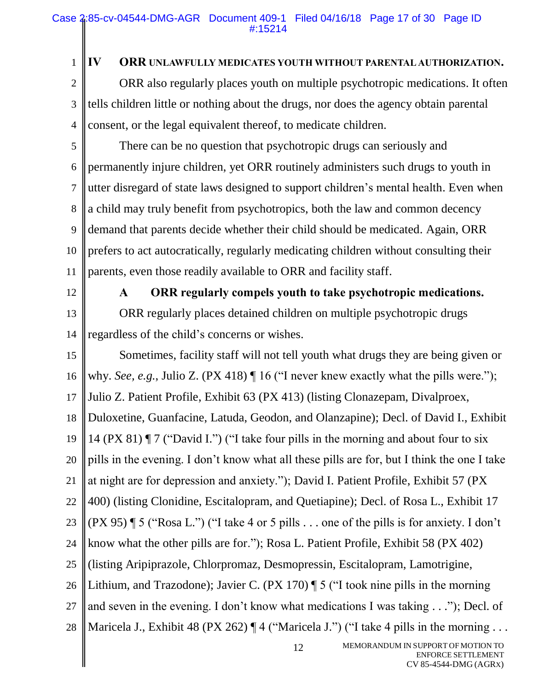1 2

3

4

## **IV ORR UNLAWFULLY MEDICATES YOUTH WITHOUT PARENTAL AUTHORIZATION.**

ORR also regularly places youth on multiple psychotropic medications. It often tells children little or nothing about the drugs, nor does the agency obtain parental consent, or the legal equivalent thereof, to medicate children.

5 6 7 8 9 10 11 There can be no question that psychotropic drugs can seriously and permanently injure children, yet ORR routinely administers such drugs to youth in utter disregard of state laws designed to support children's mental health. Even when a child may truly benefit from psychotropics, both the law and common decency demand that parents decide whether their child should be medicated. Again, ORR prefers to act autocratically, regularly medicating children without consulting their parents, even those readily available to ORR and facility staff.

12

# **A ORR regularly compels youth to take psychotropic medications.**

13 14 ORR regularly places detained children on multiple psychotropic drugs regardless of the child's concerns or wishes.

12 15 16 17 18 19 20 21 22 23 24 25 26 27 28 Sometimes, facility staff will not tell youth what drugs they are being given or why. *See, e.g.*, Julio Z. (PX 418)  $\P$  16 ("I never knew exactly what the pills were."); Julio Z. Patient Profile, Exhibit 63 (PX 413) (listing Clonazepam, Divalproex, Duloxetine, Guanfacine, Latuda, Geodon, and Olanzapine); Decl. of David I., Exhibit 14 (PX 81) ¶ 7 ("David I.") ("I take four pills in the morning and about four to six pills in the evening. I don't know what all these pills are for, but I think the one I take at night are for depression and anxiety."); David I. Patient Profile, Exhibit 57 (PX 400) (listing Clonidine, Escitalopram, and Quetiapine); Decl. of Rosa L., Exhibit 17 (PX 95) ¶ 5 ("Rosa L.") ("I take 4 or 5 pills . . . one of the pills is for anxiety. I don't know what the other pills are for."); Rosa L. Patient Profile, Exhibit 58 (PX 402) (listing Aripiprazole, Chlorpromaz, Desmopressin, Escitalopram, Lamotrigine, Lithium, and Trazodone); Javier C. (PX 170) ¶ 5 ("I took nine pills in the morning and seven in the evening. I don't know what medications I was taking . . ."); Decl. of Maricela J., Exhibit 48 (PX 262)  $\P$  4 ("Maricela J.") ("I take 4 pills in the morning ...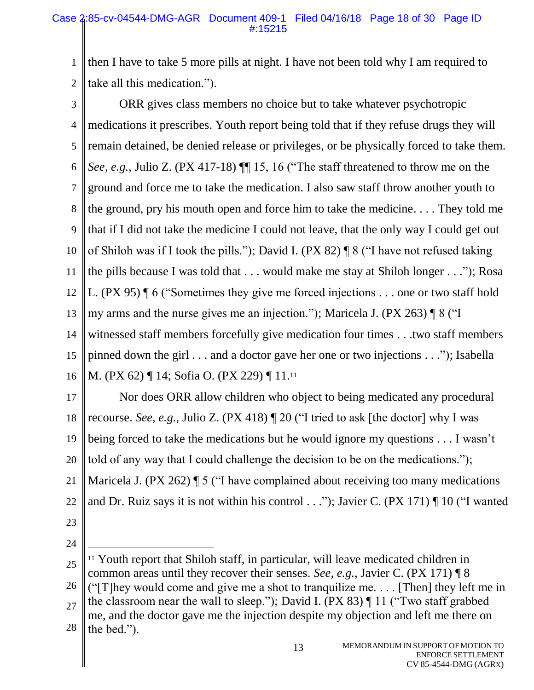1 2 then I have to take 5 more pills at night. I have not been told why I am required to take all this medication.").

3 4 5 6 7 8 9 10 11 12 13 14 15 16 ORR gives class members no choice but to take whatever psychotropic medications it prescribes. Youth report being told that if they refuse drugs they will remain detained, be denied release or privileges, or be physically forced to take them. *See, e.g.*, Julio Z. (PX 417-18) ¶¶ 15, 16 ("The staff threatened to throw me on the ground and force me to take the medication. I also saw staff throw another youth to the ground, pry his mouth open and force him to take the medicine. . . . They told me that if I did not take the medicine I could not leave, that the only way I could get out of Shiloh was if I took the pills."); David I. (PX 82) ¶ 8 ("I have not refused taking the pills because I was told that . . . would make me stay at Shiloh longer . . ."); Rosa L. (PX 95) ¶ 6 ("Sometimes they give me forced injections . . . one or two staff hold my arms and the nurse gives me an injection."); Maricela J. (PX 263) ¶ 8 ("I witnessed staff members forcefully give medication four times . . .two staff members pinned down the girl . . . and a doctor gave her one or two injections . . ."); Isabella M. (PX 62) ¶ 14; Sofia O. (PX 229) ¶ 11.<sup>11</sup>

17 18 19 20 21 22 Nor does ORR allow children who object to being medicated any procedural recourse. *See, e.g.*, Julio Z. (PX 418) ¶ 20 ("I tried to ask [the doctor] why I was being forced to take the medications but he would ignore my questions . . . I wasn't told of any way that I could challenge the decision to be on the medications."); Maricela J. (PX 262) **[5** ("I have complained about receiving too many medications and Dr. Ruiz says it is not within his control  $\dots$ "); Javier C. (PX 171)  $\P$  10 ("I wanted

23 24

<sup>25</sup> 26 27 28  $\overline{a}$ <sup>11</sup> Youth report that Shiloh staff, in particular, will leave medicated children in common areas until they recover their senses. *See, e.g.*, Javier C. (PX 171) ¶ 8 (" $[T]$ hey would come and give me a shot to tranquilize me.... [Then] they left me in the classroom near the wall to sleep."); David I. (PX 83) ¶ 11 ("Two staff grabbed me, and the doctor gave me the injection despite my objection and left me there on the bed.").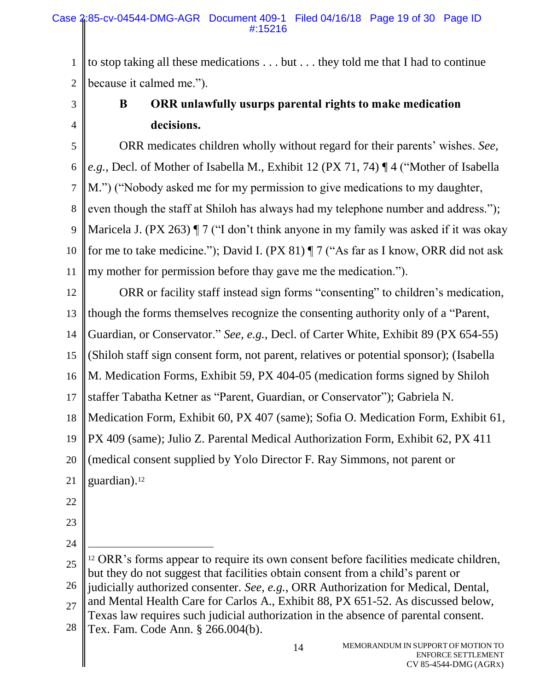1 2 to stop taking all these medications . . . but . . . they told me that I had to continue because it calmed me.").

3 4

# **B ORR unlawfully usurps parental rights to make medication decisions.**

5 6 7 8 9 10 11 ORR medicates children wholly without regard for their parents' wishes. *See, e.g.*, Decl. of Mother of Isabella M., Exhibit 12 (PX 71, 74) ¶ 4 ("Mother of Isabella M.") ("Nobody asked me for my permission to give medications to my daughter, even though the staff at Shiloh has always had my telephone number and address."); Maricela J. (PX 263)  $\P$  7 ("I don't think anyone in my family was asked if it was okay for me to take medicine."); David I. (PX 81) ¶ 7 ("As far as I know, ORR did not ask my mother for permission before thay gave me the medication.").

12 13 14 15 16 17 18 19 20 21 22 23 24 25 ORR or facility staff instead sign forms "consenting" to children's medication, though the forms themselves recognize the consenting authority only of a "Parent, Guardian, or Conservator." *See, e.g.*, Decl. of Carter White, Exhibit 89 (PX 654-55) (Shiloh staff sign consent form, not parent, relatives or potential sponsor); (Isabella M. Medication Forms, Exhibit 59, PX 404-05 (medication forms signed by Shiloh staffer Tabatha Ketner as "Parent, Guardian, or Conservator"); Gabriela N. Medication Form, Exhibit 60, PX 407 (same); Sofia O. Medication Form, Exhibit 61, PX 409 (same); Julio Z. Parental Medical Authorization Form, Exhibit 62, PX 411 (medical consent supplied by Yolo Director F. Ray Simmons, not parent or guardian). 12  $\overline{a}$ <sup>12</sup> ORR's forms appear to require its own consent before facilities medicate children, but they do not suggest that facilities obtain consent from a child's parent or

26 27 judicially authorized consenter. *See, e.g.*, ORR Authorization for Medical, Dental, and Mental Health Care for Carlos A., Exhibit 88, PX 651-52. As discussed below,

Texas law requires such judicial authorization in the absence of parental consent.

28 Tex. Fam. Code Ann. § 266.004(b).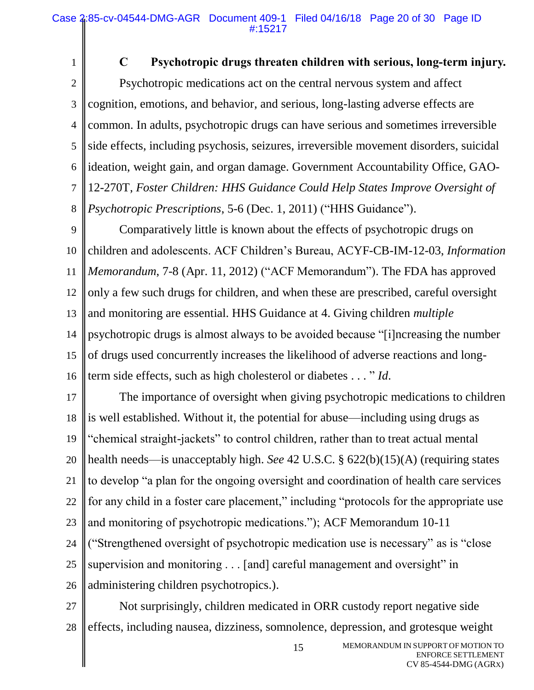1

## **C Psychotropic drugs threaten children with serious, long-term injury.**

2 3 4 5 6 7 8 Psychotropic medications act on the central nervous system and affect cognition, emotions, and behavior, and serious, long-lasting adverse effects are common. In adults, psychotropic drugs can have serious and sometimes irreversible side effects, including psychosis, seizures, irreversible movement disorders, suicidal ideation, weight gain, and organ damage. Government Accountability Office, GAO-12-270T, *Foster Children: HHS Guidance Could Help States Improve Oversight of Psychotropic Prescriptions*, 5-6 (Dec. 1, 2011) ("HHS Guidance").

9 10 11 12 13 14 15 16 Comparatively little is known about the effects of psychotropic drugs on children and adolescents. ACF Children's Bureau, ACYF-CB-IM-12-03, *Information Memorandum*, 7-8 (Apr. 11, 2012) ("ACF Memorandum"). The FDA has approved only a few such drugs for children, and when these are prescribed, careful oversight and monitoring are essential. HHS Guidance at 4. Giving children *multiple* psychotropic drugs is almost always to be avoided because "[i]ncreasing the number of drugs used concurrently increases the likelihood of adverse reactions and longterm side effects, such as high cholesterol or diabetes . . . " *Id*.

17 18 19 20 21 22 23 24 25 26 The importance of oversight when giving psychotropic medications to children is well established. Without it, the potential for abuse—including using drugs as "chemical straight-jackets" to control children, rather than to treat actual mental health needs—is unacceptably high. *See* 42 U.S.C. § 622(b)(15)(A) (requiring states to develop "a plan for the ongoing oversight and coordination of health care services for any child in a foster care placement," including "protocols for the appropriate use and monitoring of psychotropic medications."); ACF Memorandum 10-11 ("Strengthened oversight of psychotropic medication use is necessary" as is "close supervision and monitoring . . . [and] careful management and oversight" in administering children psychotropics.).

27 28 Not surprisingly, children medicated in ORR custody report negative side effects, including nausea, dizziness, somnolence, depression, and grotesque weight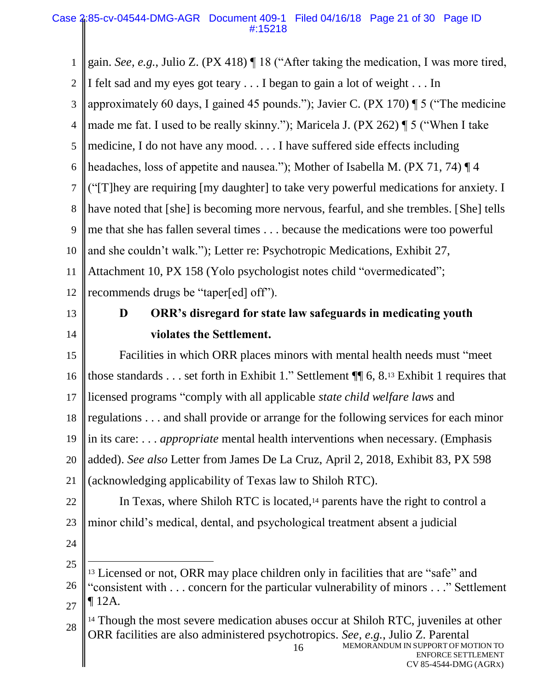1 2 3 4 5 6 7 8 9 10 11 12 13 14 15 16 17 18 19 20 21 22 23 24 25 26 27 28 gain. *See, e.g.*, Julio Z. (PX 418) ¶ 18 ("After taking the medication, I was more tired, I felt sad and my eyes got teary . . . I began to gain a lot of weight . . . In approximately 60 days, I gained 45 pounds."); Javier C. (PX 170) ¶ 5 ("The medicine made me fat. I used to be really skinny."); Maricela J. (PX 262) ¶ 5 ("When I take medicine, I do not have any mood. . . . I have suffered side effects including headaches, loss of appetite and nausea."); Mother of Isabella M. (PX 71, 74) ¶ 4 ("[T]hey are requiring [my daughter] to take very powerful medications for anxiety. I have noted that [she] is becoming more nervous, fearful, and she trembles. [She] tells me that she has fallen several times . . . because the medications were too powerful and she couldn't walk."); Letter re: Psychotropic Medications, Exhibit 27, Attachment 10, PX 158 (Yolo psychologist notes child "overmedicated"; recommends drugs be "taper[ed] off"). **D ORR's disregard for state law safeguards in medicating youth violates the Settlement.** Facilities in which ORR places minors with mental health needs must "meet those standards . . . set forth in Exhibit 1." Settlement ¶¶ 6, 8.<sup>13</sup> Exhibit 1 requires that licensed programs "comply with all applicable *state child welfare laws* and regulations . . . and shall provide or arrange for the following services for each minor in its care: . . . *appropriate* mental health interventions when necessary. (Emphasis added). *See also* Letter from James De La Cruz, April 2, 2018, Exhibit 83, PX 598 (acknowledging applicability of Texas law to Shiloh RTC). In Texas, where Shiloh RTC is located, <sup>14</sup> parents have the right to control a minor child's medical, dental, and psychological treatment absent a judicial  $\overline{a}$ <sup>13</sup> Licensed or not, ORR may place children only in facilities that are "safe" and "consistent with . . . concern for the particular vulnerability of minors . . ." Settlement ¶ 12A. <sup>14</sup> Though the most severe medication abuses occur at Shiloh RTC, juveniles at other ORR facilities are also administered psychotropics. *See, e.g.*, Julio Z. Parental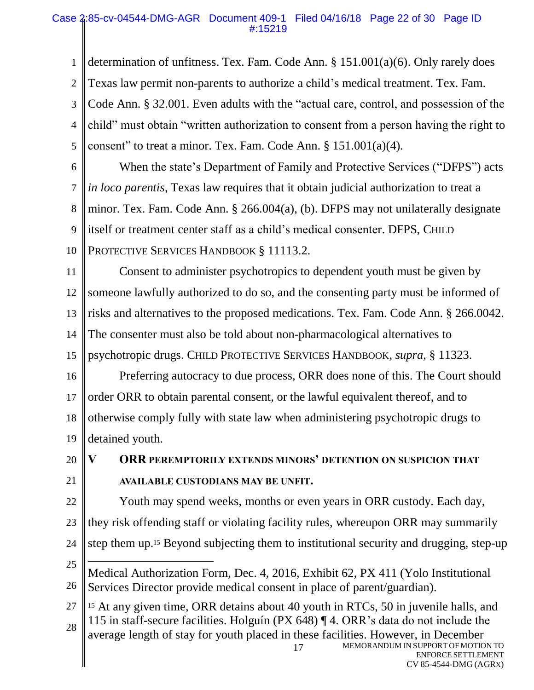## Case 2:85-cv-04544-DMG-AGR Document 409-1 Filed 04/16/18 Page 22 of 30 Page ID #:15219

1 2 3 4 5 determination of unfitness. Tex. Fam. Code Ann. § 151.001(a)(6). Only rarely does Texas law permit non-parents to authorize a child's medical treatment. Tex. Fam. Code Ann. § 32.001. Even adults with the "actual care, control, and possession of the child" must obtain "written authorization to consent from a person having the right to consent" to treat a minor. Tex. Fam. Code Ann. § 151.001(a)(4)*.*

6 7 8 9 10 When the state's Department of Family and Protective Services ("DFPS") acts *in loco parentis*, Texas law requires that it obtain judicial authorization to treat a minor. Tex. Fam. Code Ann. § 266.004(a), (b). DFPS may not unilaterally designate itself or treatment center staff as a child's medical consenter. DFPS, CHILD PROTECTIVE SERVICES HANDBOOK § 11113.2.

11 12 13 14 15 Consent to administer psychotropics to dependent youth must be given by someone lawfully authorized to do so, and the consenting party must be informed of risks and alternatives to the proposed medications. Tex. Fam. Code Ann. § 266.0042. The consenter must also be told about non-pharmacological alternatives to psychotropic drugs. CHILD PROTECTIVE SERVICES HANDBOOK, *supra*, § 11323.

16 17 18 19 Preferring autocracy to due process, ORR does none of this. The Court should order ORR to obtain parental consent, or the lawful equivalent thereof, and to otherwise comply fully with state law when administering psychotropic drugs to detained youth.

20 21 **V ORR PEREMPTORILY EXTENDS MINORS' DETENTION ON SUSPICION THAT AVAILABLE CUSTODIANS MAY BE UNFIT.**

22 Youth may spend weeks, months or even years in ORR custody. Each day,

23 they risk offending staff or violating facility rules, whereupon ORR may summarily

step them up. <sup>15</sup> Beyond subjecting them to institutional security and drugging, step-up

- 24
- 25 26  $\overline{a}$ Medical Authorization Form, Dec. 4, 2016, Exhibit 62, PX 411 (Yolo Institutional Services Director provide medical consent in place of parent/guardian).

MEMORANDUM IN SUPPORT OF MOTION TO ENFORCE SETTLEMENT 17 27 28 <sup>15</sup> At any given time, ORR detains about 40 youth in RTCs, 50 in juvenile halls, and 115 in staff-secure facilities. Holguín (PX 648) ¶ 4. ORR's data do not include the average length of stay for youth placed in these facilities. However, in December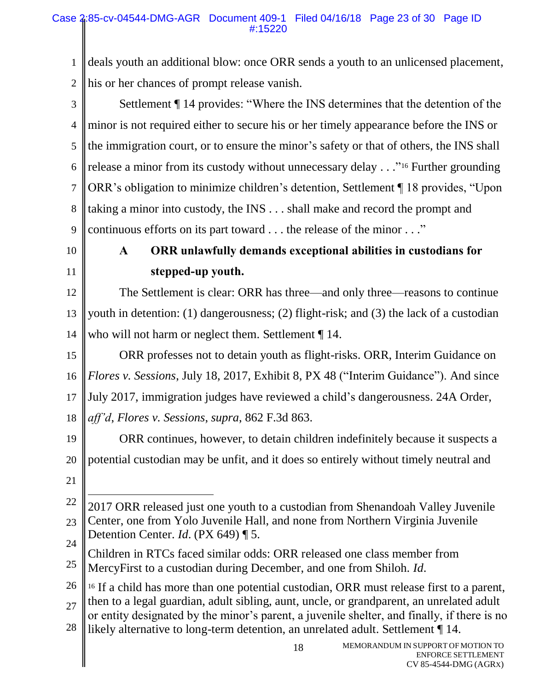1 2 deals youth an additional blow: once ORR sends a youth to an unlicensed placement, his or her chances of prompt release vanish.

3 4 5 6 7 8 9 Settlement ¶ 14 provides: "Where the INS determines that the detention of the minor is not required either to secure his or her timely appearance before the INS or the immigration court, or to ensure the minor's safety or that of others, the INS shall release a minor from its custody without unnecessary delay . . ."<sup>16</sup> Further grounding ORR's obligation to minimize children's detention, Settlement ¶ 18 provides, "Upon taking a minor into custody, the INS . . . shall make and record the prompt and continuous efforts on its part toward . . . the release of the minor . . ."

10

11

# **A ORR unlawfully demands exceptional abilities in custodians for stepped-up youth.**

12 13 14 The Settlement is clear: ORR has three—and only three—reasons to continue youth in detention: (1) dangerousness; (2) flight-risk; and (3) the lack of a custodian who will not harm or neglect them. Settlement  $\P$  14.

15 16 17 18 ORR professes not to detain youth as flight-risks. ORR, Interim Guidance on *Flores v. Sessions*, July 18, 2017, Exhibit 8, PX 48 ("Interim Guidance"). And since July 2017, immigration judges have reviewed a child's dangerousness. 24A Order, *aff'd*, *Flores v. Sessions*, *supra*, 862 F.3d 863.

19 20 ORR continues, however, to detain children indefinitely because it suspects a potential custodian may be unfit, and it does so entirely without timely neutral and

21

25 Children in RTCs faced similar odds: ORR released one class member from MercyFirst to a custodian during December, and one from Shiloh. *Id*.

26 27 28 <sup>16</sup> If a child has more than one potential custodian, ORR must release first to a parent, then to a legal guardian, adult sibling, aunt, uncle, or grandparent, an unrelated adult or entity designated by the minor's parent, a juvenile shelter, and finally, if there is no likely alternative to long-term detention, an unrelated adult. Settlement ¶ 14.

<sup>22</sup> 23 24  $\overline{a}$ 2017 ORR released just one youth to a custodian from Shenandoah Valley Juvenile Center, one from Yolo Juvenile Hall, and none from Northern Virginia Juvenile Detention Center. *Id*. (PX 649) ¶ 5.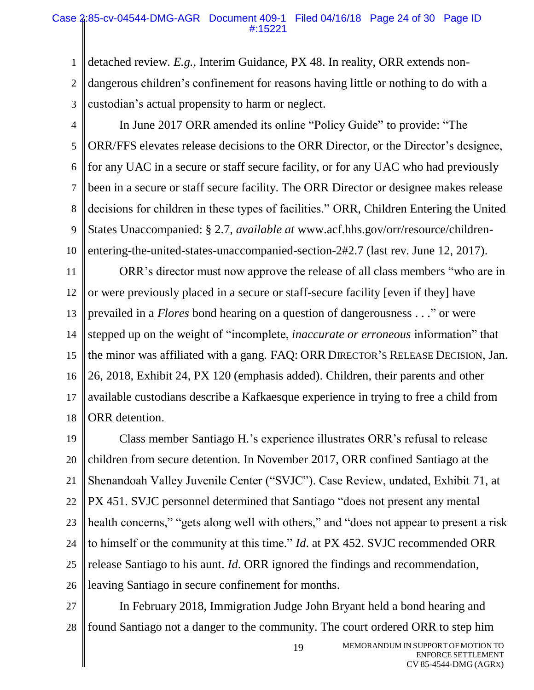1 2 3 detached review. *E.g.*, Interim Guidance, PX 48. In reality, ORR extends nondangerous children's confinement for reasons having little or nothing to do with a custodian's actual propensity to harm or neglect.

4

5 6 7 8 9 10 In June 2017 ORR amended its online "Policy Guide" to provide: "The ORR/FFS elevates release decisions to the ORR Director, or the Director's designee, for any UAC in a secure or staff secure facility, or for any UAC who had previously been in a secure or staff secure facility. The ORR Director or designee makes release decisions for children in these types of facilities." ORR, Children Entering the United States Unaccompanied: § 2.7, *available at* www.acf.hhs.gov/orr/resource/childrenentering-the-united-states-unaccompanied-section-2#2.7 (last rev. June 12, 2017).

11 12 13 14 15 16 17 18 ORR's director must now approve the release of all class members "who are in or were previously placed in a secure or staff-secure facility [even if they] have prevailed in a *Flores* bond hearing on a question of dangerousness . . ." or were stepped up on the weight of "incomplete, *inaccurate or erroneous* information" that the minor was affiliated with a gang. FAQ: ORR DIRECTOR'S RELEASE DECISION, Jan. 26, 2018, Exhibit 24, PX 120 (emphasis added). Children, their parents and other available custodians describe a Kafkaesque experience in trying to free a child from ORR detention.

19 20 21 22 23 24 25 26 Class member Santiago H.'s experience illustrates ORR's refusal to release children from secure detention. In November 2017, ORR confined Santiago at the Shenandoah Valley Juvenile Center ("SVJC"). Case Review, undated, Exhibit 71, at PX 451. SVJC personnel determined that Santiago "does not present any mental health concerns," "gets along well with others," and "does not appear to present a risk to himself or the community at this time." *Id*. at PX 452. SVJC recommended ORR release Santiago to his aunt. *Id*. ORR ignored the findings and recommendation, leaving Santiago in secure confinement for months.

27 28 In February 2018, Immigration Judge John Bryant held a bond hearing and found Santiago not a danger to the community. The court ordered ORR to step him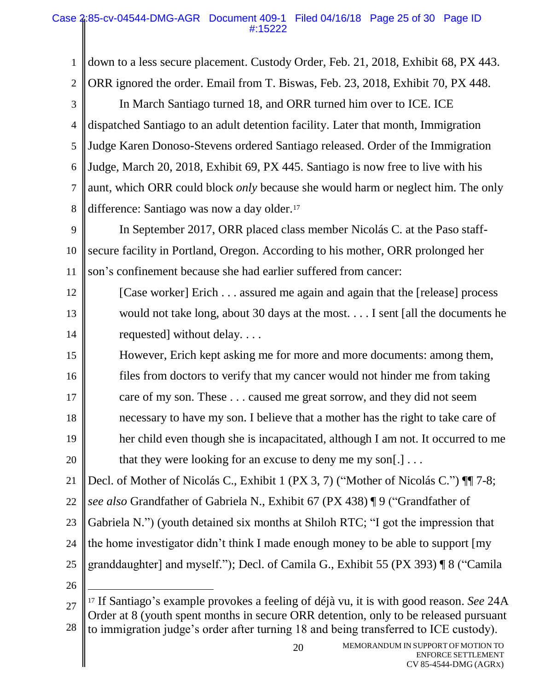1 2 3 4 5 6 7 8 9 10 11 12 13 14 15 16 17 18 19 20 21 22 23 24 25 26 27 down to a less secure placement. Custody Order, Feb. 21, 2018, Exhibit 68, PX 443. ORR ignored the order. Email from T. Biswas, Feb. 23, 2018, Exhibit 70, PX 448. In March Santiago turned 18, and ORR turned him over to ICE. ICE dispatched Santiago to an adult detention facility. Later that month, Immigration Judge Karen Donoso-Stevens ordered Santiago released. Order of the Immigration Judge, March 20, 2018, Exhibit 69, PX 445. Santiago is now free to live with his aunt, which ORR could block *only* because she would harm or neglect him. The only difference: Santiago was now a day older.<sup>17</sup> In September 2017, ORR placed class member Nicolás C. at the Paso staffsecure facility in Portland, Oregon. According to his mother, ORR prolonged her son's confinement because she had earlier suffered from cancer: [Case worker] Erich . . . assured me again and again that the [release] process would not take long, about 30 days at the most. . . . I sent [all the documents he requested] without delay. . . . However, Erich kept asking me for more and more documents: among them, files from doctors to verify that my cancer would not hinder me from taking care of my son. These . . . caused me great sorrow, and they did not seem necessary to have my son. I believe that a mother has the right to take care of her child even though she is incapacitated, although I am not. It occurred to me that they were looking for an excuse to deny me my son $[.] \ldots$ Decl. of Mother of Nicolás C., Exhibit 1 (PX 3, 7) ("Mother of Nicolás C.") ¶¶ 7-8; *see also* Grandfather of Gabriela N., Exhibit 67 (PX 438) ¶ 9 ("Grandfather of Gabriela N.") (youth detained six months at Shiloh RTC; "I got the impression that the home investigator didn't think I made enough money to be able to support [my granddaughter] and myself."); Decl. of Camila G., Exhibit 55 (PX 393) ¶ 8 ("Camila  $\overline{a}$ <sup>17</sup> If Santiago's example provokes a feeling of déjà vu, it is with good reason. *See* 24A

28 Order at 8 (youth spent months in secure ORR detention, only to be released pursuant to immigration judge's order after turning 18 and being transferred to ICE custody).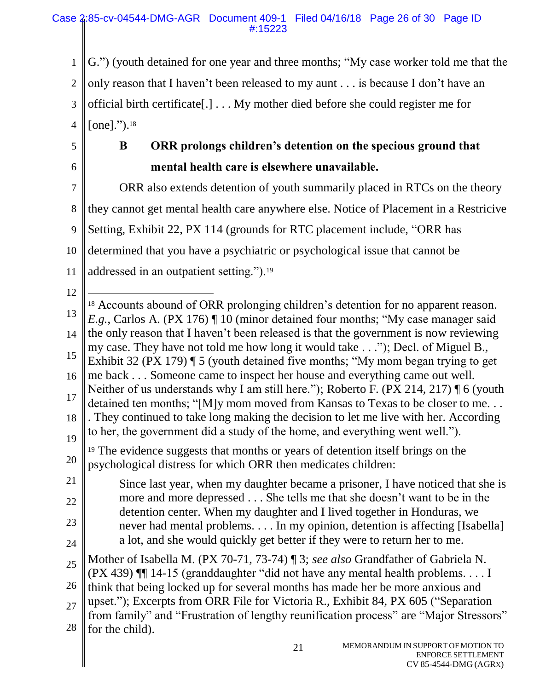1 2 3 4 G.") (youth detained for one year and three months; "My case worker told me that the only reason that I haven't been released to my aunt . . . is because I don't have an official birth certificate[.] . . . My mother died before she could register me for [one].").<sup>18</sup>

5

6

28

for the child).

# **B ORR prolongs children's detention on the specious ground that mental health care is elsewhere unavailable.**

7 8 9 10 11 ORR also extends detention of youth summarily placed in RTCs on the theory they cannot get mental health care anywhere else. Notice of Placement in a Restricive Setting, Exhibit 22, PX 114 (grounds for RTC placement include, "ORR has determined that you have a psychiatric or psychological issue that cannot be addressed in an outpatient setting.").<sup>19</sup>

12 13 14 15 16 17 18 19 20 21 22 23 24 25 26  $27$  $\overline{a}$ <sup>18</sup> Accounts abound of ORR prolonging children's detention for no apparent reason. *E.g.*, Carlos A. (PX 176) ¶ 10 (minor detained four months; "My case manager said the only reason that I haven't been released is that the government is now reviewing my case. They have not told me how long it would take . . ."); Decl. of Miguel B., Exhibit 32 (PX 179) ¶ 5 (youth detained five months; "My mom began trying to get me back . . . Someone came to inspect her house and everything came out well. Neither of us understands why I am still here."); Roberto F. (PX 214, 217) ¶ 6 (youth detained ten months; "[M]y mom moved from Kansas to Texas to be closer to me. . . . They continued to take long making the decision to let me live with her. According to her, the government did a study of the home, and everything went well."). <sup>19</sup> The evidence suggests that months or years of detention itself brings on the psychological distress for which ORR then medicates children: Since last year, when my daughter became a prisoner, I have noticed that she is more and more depressed . . . She tells me that she doesn't want to be in the detention center. When my daughter and I lived together in Honduras, we never had mental problems. . . . In my opinion, detention is affecting [Isabella] a lot, and she would quickly get better if they were to return her to me. Mother of Isabella M. (PX 70-71, 73-74) ¶ 3; *see also* Grandfather of Gabriela N. (PX 439) ¶¶ 14-15 (granddaughter "did not have any mental health problems. . . . I think that being locked up for several months has made her be more anxious and upset."); Excerpts from ORR File for Victoria R., Exhibit 84, PX 605 ("Separation from family" and "Frustration of lengthy reunification process" are "Major Stressors"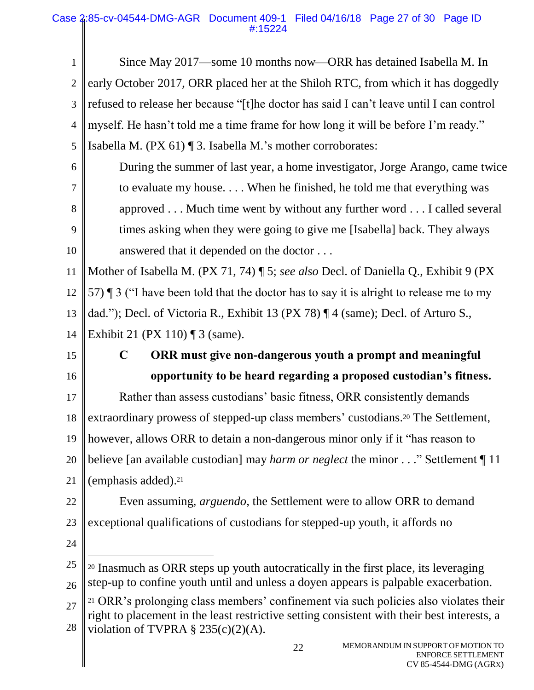## Case 2:85-cv-04544-DMG-AGR Document 409-1 Filed 04/16/18 Page 27 of 30 Page ID #:15224

| $\mathbf{1}$   | Since May 2017—some 10 months now—ORR has detained Isabella M. In                                                                                                                              |
|----------------|------------------------------------------------------------------------------------------------------------------------------------------------------------------------------------------------|
| $\overline{2}$ | early October 2017, ORR placed her at the Shiloh RTC, from which it has doggedly                                                                                                               |
| 3              | refused to release her because "[t]he doctor has said I can't leave until I can control                                                                                                        |
| $\overline{4}$ | myself. He hasn't told me a time frame for how long it will be before I'm ready."                                                                                                              |
| 5              | Isabella M. (PX 61) ¶ 3. Isabella M.'s mother corroborates:                                                                                                                                    |
| 6              | During the summer of last year, a home investigator, Jorge Arango, came twice                                                                                                                  |
| 7              | to evaluate my house When he finished, he told me that everything was                                                                                                                          |
| 8              | approved Much time went by without any further word I called several                                                                                                                           |
| 9              | times asking when they were going to give me [Isabella] back. They always                                                                                                                      |
| 10             | answered that it depended on the doctor                                                                                                                                                        |
| 11             | Mother of Isabella M. (PX 71, 74) ¶ 5; see also Decl. of Daniella Q., Exhibit 9 (PX                                                                                                            |
| 12             | 57) $\parallel$ 3 ("I have been told that the doctor has to say it is alright to release me to my                                                                                              |
| 13             | dad."); Decl. of Victoria R., Exhibit 13 (PX 78) $\P$ 4 (same); Decl. of Arturo S.,                                                                                                            |
| 14             | Exhibit 21 (PX 110) $\P$ 3 (same).                                                                                                                                                             |
| 15             | ORR must give non-dangerous youth a prompt and meaningful<br>$\mathbf C$                                                                                                                       |
| 16             | opportunity to be heard regarding a proposed custodian's fitness.                                                                                                                              |
| 17             | Rather than assess custodians' basic fitness, ORR consistently demands                                                                                                                         |
| 18             | extraordinary prowess of stepped-up class members' custodians. <sup>20</sup> The Settlement,                                                                                                   |
| 19             | however, allows ORR to detain a non-dangerous minor only if it "has reason to                                                                                                                  |
| 20             | believe [an available custodian] may <i>harm or neglect</i> the minor" Settlement $\P$ 11                                                                                                      |
| 21             | (emphasis added). <sup>21</sup>                                                                                                                                                                |
| 22             | Even assuming, <i>arguendo</i> , the Settlement were to allow ORR to demand                                                                                                                    |
| 23             | exceptional qualifications of custodians for stepped-up youth, it affords no                                                                                                                   |
| 24             |                                                                                                                                                                                                |
| 25             | <sup>20</sup> Inasmuch as ORR steps up youth autocratically in the first place, its leveraging                                                                                                 |
| 26             | step-up to confine youth until and unless a doyen appears is palpable exacerbation.                                                                                                            |
| 27             | <sup>21</sup> ORR's prolonging class members' confinement via such policies also violates their<br>right to placement in the least restrictive setting consistent with their best interests, a |
| 28             | violation of TVPRA $\S$ 235(c)(2)(A).                                                                                                                                                          |
|                | MEMORANDUM IN SUPPORT OF MOTION TO<br>22<br><b>ENFORCE SETTLEMENT</b><br>CV 85-4544-DMG (AGRX)                                                                                                 |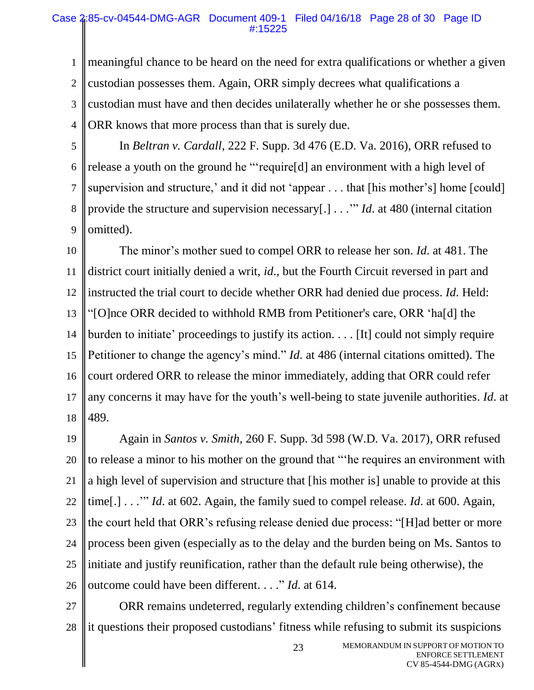### Case 2:85-cv-04544-DMG-AGR Document 409-1 Filed 04/16/18 Page 28 of 30 Page ID #:15225

1 2 3 4 meaningful chance to be heard on the need for extra qualifications or whether a given custodian possesses them. Again, ORR simply decrees what qualifications a custodian must have and then decides unilaterally whether he or she possesses them. ORR knows that more process than that is surely due.

5

6

7

8

9

In *Beltran v. Cardall*, 222 F. Supp. 3d 476 (E.D. Va. 2016), ORR refused to release a youth on the ground he "'require[d] an environment with a high level of supervision and structure,' and it did not 'appear . . . that [his mother's] home [could] provide the structure and supervision necessary[.] . . .'" *Id*. at 480 (internal citation omitted).

10 11 12 13 14 15 16 17 18 The minor's mother sued to compel ORR to release her son. *Id*. at 481. The district court initially denied a writ, *id*., but the Fourth Circuit reversed in part and instructed the trial court to decide whether ORR had denied due process. *Id*. Held: "[O]nce ORR decided to withhold RMB from Petitioner's care, ORR 'ha[d] the burden to initiate' proceedings to justify its action. . . . [It] could not simply require Petitioner to change the agency's mind." *Id*. at 486 (internal citations omitted). The court ordered ORR to release the minor immediately, adding that ORR could refer any concerns it may have for the youth's well-being to state juvenile authorities. *Id*. at 489.

19 20 21 22 23 24 25 26 Again in *Santos v. Smith*, 260 F. Supp. 3d 598 (W.D. Va. 2017), ORR refused to release a minor to his mother on the ground that "'he requires an environment with a high level of supervision and structure that [his mother is] unable to provide at this time[.] . . .'" *Id*. at 602. Again, the family sued to compel release. *Id*. at 600. Again, the court held that ORR's refusing release denied due process: "[H]ad better or more process been given (especially as to the delay and the burden being on Ms. Santos to initiate and justify reunification, rather than the default rule being otherwise), the outcome could have been different. . . ." *Id*. at 614.

27 28 ORR remains undeterred, regularly extending children's confinement because it questions their proposed custodians' fitness while refusing to submit its suspicions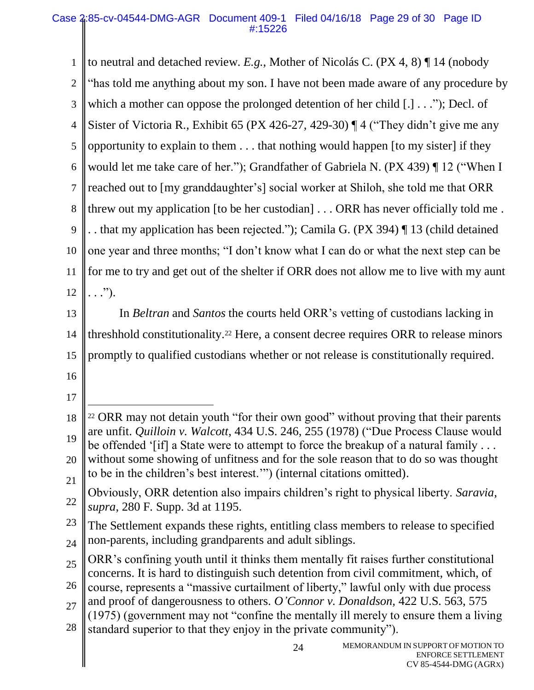24 1 2 3 4 5 6 7 8 9 10 11 12 13 14 15 16 17 18 19 20 21 22 23 24 25 26  $27$ 28 to neutral and detached review. *E.g.*, Mother of Nicolás C. (PX 4, 8) ¶ 14 (nobody "has told me anything about my son. I have not been made aware of any procedure by which a mother can oppose the prolonged detention of her child [.] . . ."); Decl. of Sister of Victoria R., Exhibit 65 (PX 426-27, 429-30) ¶ 4 ("They didn't give me any opportunity to explain to them . . . that nothing would happen [to my sister] if they would let me take care of her."); Grandfather of Gabriela N. (PX 439) ¶ 12 ("When I reached out to [my granddaughter's] social worker at Shiloh, she told me that ORR threw out my application [to be her custodian] . . . ORR has never officially told me . . . that my application has been rejected."); Camila G. (PX 394) ¶ 13 (child detained one year and three months; "I don't know what I can do or what the next step can be for me to try and get out of the shelter if ORR does not allow me to live with my aunt  $\ldots$ ."). In *Beltran* and *Santos* the courts held ORR's vetting of custodians lacking in threshhold constitutionality. <sup>22</sup> Here, a consent decree requires ORR to release minors promptly to qualified custodians whether or not release is constitutionally required.  $\overline{a}$ <sup>22</sup> ORR may not detain youth "for their own good" without proving that their parents are unfit. *Quilloin v. Walcott*, 434 U.S. 246, 255 (1978) ("Due Process Clause would be offended '[if] a State were to attempt to force the breakup of a natural family ... without some showing of unfitness and for the sole reason that to do so was thought to be in the children's best interest.'") (internal citations omitted). Obviously, ORR detention also impairs children's right to physical liberty. *Saravia*, *supra*, 280 F. Supp. 3d at 1195. The Settlement expands these rights, entitling class members to release to specified non-parents, including grandparents and adult siblings. ORR's confining youth until it thinks them mentally fit raises further constitutional concerns. It is hard to distinguish such detention from civil commitment, which, of course, represents a "massive curtailment of liberty," lawful only with due process and proof of dangerousness to others. *O'Connor v. Donaldson,* 422 U.S. 563, 575 (1975) (government may not "confine the mentally ill merely to ensure them a living standard superior to that they enjoy in the private community").